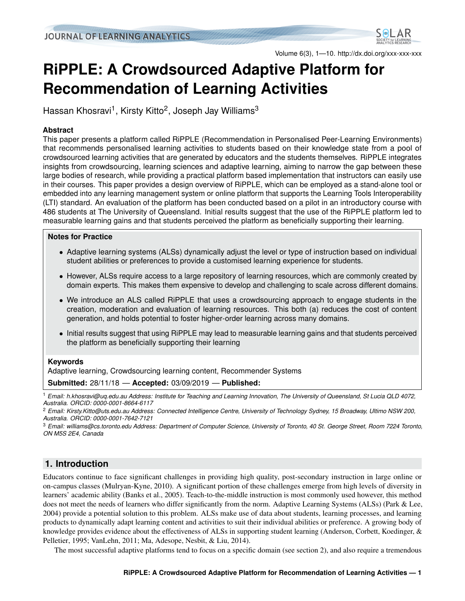

Volume 6(3), 1—10. http://dx.doi.org/xxx-xxx-xxx

# **RiPPLE: A Crowdsourced Adaptive Platform for Recommendation of Learning Activities**

Hassan Khosravi<sup>1</sup>, Kirsty Kitto<sup>2</sup>, Joseph Jay Williams<sup>3</sup>

### **Abstract**

This paper presents a platform called RiPPLE (Recommendation in Personalised Peer-Learning Environments) that recommends personalised learning activities to students based on their knowledge state from a pool of crowdsourced learning activities that are generated by educators and the students themselves. RiPPLE integrates insights from crowdsourcing, learning sciences and adaptive learning, aiming to narrow the gap between these large bodies of research, while providing a practical platform based implementation that instructors can easily use in their courses. This paper provides a design overview of RiPPLE, which can be employed as a stand-alone tool or embedded into any learning management system or online platform that supports the Learning Tools Interoperability (LTI) standard. An evaluation of the platform has been conducted based on a pilot in an introductory course with 486 students at The University of Queensland. Initial results suggest that the use of the RiPPLE platform led to measurable learning gains and that students perceived the platform as beneficially supporting their learning.

### **Notes for Practice**

- Adaptive learning systems (ALSs) dynamically adjust the level or type of instruction based on individual student abilities or preferences to provide a customised learning experience for students.
- However, ALSs require access to a large repository of learning resources, which are commonly created by domain experts. This makes them expensive to develop and challenging to scale across different domains.
- We introduce an ALS called RiPPLE that uses a crowdsourcing approach to engage students in the creation, moderation and evaluation of learning resources. This both (a) reduces the cost of content generation, and holds potential to foster higher-order learning across many domains.
- Initial results suggest that using RiPPLE may lead to measurable learning gains and that students perceived the platform as beneficially supporting their learning

### **Keywords**

Adaptive learning, Crowdsourcing learning content, Recommender Systems

**Submitted:** 28/11/18 — **Accepted:** 03/09/2019 — **Published:**

<sup>1</sup> *Email: h.khosravi@uq.edu.au Address: Institute for Teaching and Learning Innovation, The University of Queensland, St Lucia QLD 4072, Australia. ORCID: 0000-0001-8664-6117*

<sup>2</sup> *Email: Kirsty.Kitto@uts.edu.au Address: Connected Intelligence Centre, University of Technology Sydney, 15 Broadway, Ultimo NSW 200, Australia. ORCID: 0000-0001-7642-7121*

<sup>3</sup> *Email: williams@cs.toronto.edu Address: Department of Computer Science, University of Toronto, 40 St. George Street, Room 7224 Toronto, ON M5S 2E4, Canada*

# **1. Introduction**

Educators continue to face significant challenges in providing high quality, post-secondary instruction in large online or on-campus classes [\(Mulryan-Kyne,](#page-11-0) [2010\)](#page-11-0). A significant portion of these challenges emerge from high levels of diversity in learners' academic ability [\(Banks et al.,](#page-10-0) [2005\)](#page-10-0). Teach-to-the-middle instruction is most commonly used however, this method does not meet the needs of learners who differ significantly from the norm. Adaptive Learning Systems (ALSs) [\(Park & Lee,](#page-12-0) [2004\)](#page-12-0) provide a potential solution to this problem. ALSs make use of data about students, learning processes, and learning products to dynamically adapt learning content and activities to suit their individual abilities or preference. A growing body of knowledge provides evidence about the effectiveness of ALSs in supporting student learning [\(Anderson, Corbett, Koedinger, &](#page-10-1) [Pelletier,](#page-10-1) [1995;](#page-10-1) [VanLehn,](#page-12-1) [2011;](#page-12-1) [Ma, Adesope, Nesbit, & Liu,](#page-11-1) [2014\)](#page-11-1).

The most successful adaptive platforms tend to focus on a specific domain (see section [2\)](#page-1-0), and also require a tremendous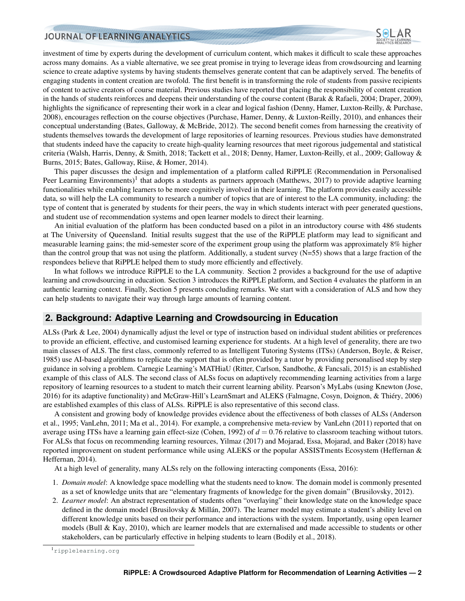

investment of time by experts during the development of curriculum content, which makes it difficult to scale these approaches across many domains. As a viable alternative, we see great promise in trying to leverage ideas from crowdsourcing and learning science to create adaptive systems by having students themselves generate content that can be adaptively served. The benefits of engaging students in content creation are twofold. The first benefit is in transforming the role of students from passive recipients of content to active creators of course material. Previous studies have reported that placing the responsibility of content creation in the hands of students reinforces and deepens their understanding of the course content [\(Barak & Rafaeli,](#page-10-2) [2004;](#page-10-2) [Draper,](#page-11-2) [2009\)](#page-11-2), highlights the significance of representing their work in a clear and logical fashion [\(Denny, Hamer, Luxton-Reilly, & Purchase,](#page-11-3) [2008\)](#page-11-3), encourages reflection on the course objectives [\(Purchase, Hamer, Denny, & Luxton-Reilly,](#page-12-2) [2010\)](#page-12-2), and enhances their conceptual understanding [\(Bates, Galloway, & McBride,](#page-10-3) [2012\)](#page-10-3). The second benefit comes from harnessing the creativity of students themselves towards the development of large repositories of learning resources. Previous studies have demonstrated that students indeed have the capacity to create high-quality learning resources that meet rigorous judgemental and statistical criteria [\(Walsh, Harris, Denny, & Smith,](#page-12-3) [2018;](#page-12-3) [Tackett et al.,](#page-12-4) [2018;](#page-12-4) [Denny, Hamer, Luxton-Reilly, et al.,](#page-11-4) [2009;](#page-11-4) [Galloway &](#page-11-5) [Burns,](#page-11-5) [2015;](#page-11-5) [Bates, Galloway, Riise, & Homer,](#page-10-4) [2014\)](#page-10-4).

This paper discusses the design and implementation of a platform called RiPPLE (Recommendation in Personalised Peer Learning Environments)<sup>[1](#page-1-1)</sup> that adopts a students as partners approach [\(Matthews,](#page-11-6) [2017\)](#page-11-6) to provide adaptive learning functionalities while enabling learners to be more cognitively involved in their learning. The platform provides easily accessible data, so will help the LA community to research a number of topics that are of interest to the LA community, including: the type of content that is generated by students for their peers, the way in which students interact with peer generated questions, and student use of recommendation systems and open learner models to direct their learning.

An initial evaluation of the platform has been conducted based on a pilot in an introductory course with 486 students at The University of Queensland. Initial results suggest that the use of the RiPPLE platform may lead to significant and measurable learning gains; the mid-semester score of the experiment group using the platform was approximately 8% higher than the control group that was not using the platform. Additionally, a student survey  $(N=55)$  shows that a large fraction of the respondees believe that RiPPLE helped them to study more efficiently and effectively.

In what follows we introduce RiPPLE to the LA community. Section [2](#page-1-0) provides a background for the use of adaptive learning and crowdsourcing in education. Section [3](#page-2-0) introduces the RiPPLE platform, and Section [4](#page-6-0) evaluates the platform in an authentic learning context. Finally, Section [5](#page-9-0) presents concluding remarks. We start with a consideration of ALS and how they can help students to navigate their way through large amounts of learning content.

### <span id="page-1-0"></span>**2. Background: Adaptive Learning and Crowdsourcing in Education**

ALSs [\(Park & Lee,](#page-12-0) [2004\)](#page-12-0) dynamically adjust the level or type of instruction based on individual student abilities or preferences to provide an efficient, effective, and customised learning experience for students. At a high level of generality, there are two main classes of ALS. The first class, commonly referred to as Intelligent Tutoring Systems (ITSs) [\(Anderson, Boyle, & Reiser,](#page-10-5) [1985\)](#page-10-5) use AI-based algorithms to replicate the support that is often provided by a tutor by providing personalised step by step guidance in solving a problem. Carnegie Learning's MATHiaU [\(Ritter, Carlson, Sandbothe, & Fancsali,](#page-12-5) [2015\)](#page-12-5) is an established example of this class of ALS. The second class of ALSs focus on adaptively recommending learning activities from a large repository of learning resources to a student to match their current learning ability. Pearson's MyLabs (using Knewton [\(Jose,](#page-11-7) [2016\)](#page-11-7) for its adaptive functionality) and McGraw-Hill's LearnSmart and ALEKS (Falmagne, Cosyn, Doignon, & Thiéry, [2006\)](#page-11-8) are established examples of this class of ALSs. RiPPLE is also representative of this second class.

A consistent and growing body of knowledge provides evidence about the effectiveness of both classes of ALSs [\(Anderson](#page-10-1) [et al.,](#page-10-1) [1995;](#page-10-1) [VanLehn,](#page-12-1) [2011;](#page-12-1) [Ma et al.,](#page-11-1) [2014\)](#page-11-1). For example, a comprehensive meta-review by [VanLehn](#page-12-1) [\(2011\)](#page-12-1) reported that on average using ITSs have a learning gain effect-size [\(Cohen,](#page-11-9) [1992\)](#page-11-9) of  $d = 0.76$  relative to classroom teaching without tutors. For ALSs that focus on recommending learning resources, [Yilmaz](#page-12-6) [\(2017\)](#page-12-6) and [Mojarad, Essa, Mojarad, and Baker](#page-11-10) [\(2018\)](#page-11-10) have reported improvement on student performance while using ALEKS or the popular ASSISTments Ecosystem [\(Heffernan &](#page-11-11) [Heffernan,](#page-11-11) [2014\)](#page-11-11).

At a high level of generality, many ALSs rely on the following interacting components [\(Essa,](#page-11-12) [2016\)](#page-11-12):

- 1. *Domain model*: A knowledge space modelling what the students need to know. The domain model is commonly presented as a set of knowledge units that are "elementary fragments of knowledge for the given domain" [\(Brusilovsky,](#page-10-6) [2012\)](#page-10-6).
- 2. *Learner model*: An abstract representation of students often "overlaying" their knowledge state on the knowledge space defined in the domain model (Brusilovsky  $\&$  Millán, [2007\)](#page-10-7). The learner model may estimate a student's ability level on different knowledge units based on their performance and interactions with the system. Importantly, using open learner models [\(Bull & Kay,](#page-11-13) [2010\)](#page-11-13), which are learner models that are externalised and made accessible to students or other stakeholders, can be particularly effective in helping students to learn [\(Bodily et al.,](#page-10-8) [2018\)](#page-10-8).

<span id="page-1-1"></span><sup>1</sup><ripplelearning.org>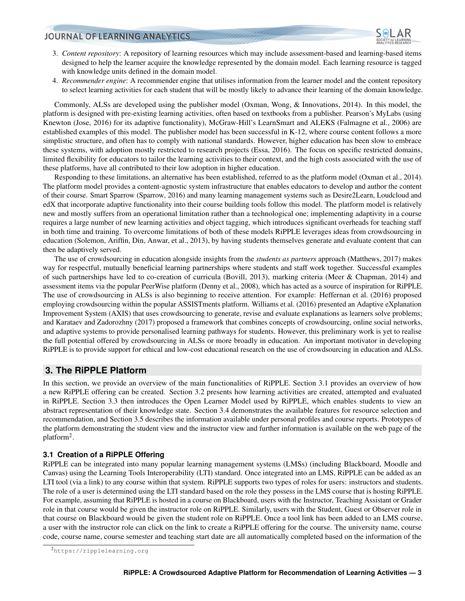

- 3. *Content repository*: A repository of learning resources which may include assessment-based and learning-based items designed to help the learner acquire the knowledge represented by the domain model. Each learning resource is tagged with knowledge units defined in the domain model.
- 4. *Recommender engine*: A recommender engine that utilises information from the learner model and the content repository to select learning activities for each student that will be mostly likely to advance their learning of the domain knowledge.

Commonly, ALSs are developed using the publisher model [\(Oxman, Wong, & Innovations,](#page-12-7) [2014\)](#page-12-7). In this model, the platform is designed with pre-existing learning activities, often based on textbooks from a publisher. Pearson's MyLabs (using Knewton [\(Jose,](#page-11-7) [2016\)](#page-11-7) for its adaptive functionality), McGraw-Hill's LearnSmart and ALEKS [\(Falmagne et al.,](#page-11-8) [2006\)](#page-11-8) are established examples of this model. The publisher model has been successful in K-12, where course content follows a more simplistic structure, and often has to comply with national standards. However, higher education has been slow to embrace these systems, with adoption mostly restricted to research projects [\(Essa,](#page-11-12) [2016\)](#page-11-12). The focus on specific restricted domains, limited flexibility for educators to tailor the learning activities to their context, and the high costs associated with the use of these platforms, have all contributed to their low adoption in higher education.

Responding to these limitations, an alternative has been established, referred to as the platform model [\(Oxman et al.,](#page-12-7) [2014\)](#page-12-7). The platform model provides a content-agnostic system infrastructure that enables educators to develop and author the content of their course. Smart Sparrow [\(Sparrow,](#page-12-8) [2016\)](#page-12-8) and many learning management systems such as Desire2Learn, Loudcloud and edX that incorporate adaptive functionality into their course building tools follow this model. The platform model is relatively new and mostly suffers from an operational limitation rather than a technological one; implementing adaptivity in a course requires a large number of new learning activities and object tagging, which introduces significant overheads for teaching staff in both time and training. To overcome limitations of both of these models RiPPLE leverages ideas from crowdsourcing in education [\(Solemon, Ariffin, Din, Anwar, et al.,](#page-12-9) [2013\)](#page-12-9), by having students themselves generate and evaluate content that can then be adaptively served.

The use of crowdsourcing in education alongside insights from the *students as partners* approach [\(Matthews,](#page-11-6) [2017\)](#page-11-6) makes way for respectful, mutually beneficial learning partnerships where students and staff work together. Successful examples of such partnerships have led to co-creation of curricula [\(Bovill,](#page-10-9) [2013\)](#page-10-9), marking criteria [\(Meer & Chapman,](#page-11-14) [2014\)](#page-11-14) and assessment items via the popular PeerWise platform [\(Denny et al.,](#page-11-3) [2008\)](#page-11-3), which has acted as a source of inspiration for RiPPLE. The use of crowdsourcing in ALSs is also beginning to receive attention. For example: [Heffernan et al.](#page-11-15) [\(2016\)](#page-11-15) proposed employing crowdsourcing within the popular ASSISTments platform. [Williams et al.](#page-12-10) [\(2016\)](#page-12-10) presented an Adaptive eXplanation Improvement System (AXIS) that uses crowdsourcing to generate, revise and evaluate explanations as learners solve problems; and [Karataev and Zadorozhny](#page-11-16) [\(2017\)](#page-11-16) proposed a framework that combines concepts of crowdsourcing, online social networks, and adaptive systems to provide personalised learning pathways for students. However, this preliminary work is yet to realise the full potential offered by crowdsourcing in ALSs or more broadly in education. An important motivator in developing RiPPLE is to provide support for ethical and low-cost educational research on the use of crowdsourcing in education and ALSs.

### <span id="page-2-0"></span>**3. The RiPPLE Platform**

In this section, we provide an overview of the main functionalities of RiPPLE. Section [3.1](#page-2-1) provides an overview of how a new RiPPLE offering can be created. Section [3.2](#page-3-0) presents how learning activities are created, attempted and evaluated in RiPPLE. Section [3.3](#page-4-0) then introduces the Open Learner Model used by RiPPLE, which enables students to view an abstract representation of their knowledge state. Section [3.4](#page-4-1) demonstrates the available features for resource selection and recommendation, and Section [3.5](#page-5-0) describes the information available under personal profiles and course reports. Prototypes of the platform demonstrating the student view and the instructor view and further information is available on the web page of the platform<sup>[2](#page-2-2)</sup>.

### <span id="page-2-1"></span>**3.1 Creation of a RiPPLE Offering**

RiPPLE can be integrated into many popular learning management systems (LMSs) (including Blackboard, Moodle and Canvas) using the Learning Tools Interoperability (LTI) standard. Once integrated into an LMS, RiPPLE can be added as an LTI tool (via a link) to any course within that system. RiPPLE supports two types of roles for users: instructors and students. The role of a user is determined using the LTI standard based on the role they possess in the LMS course that is hosting RiPPLE. For example, assuming that RiPPLE is hosted in a course on Blackboard, users with the Instructor, Teaching Assistant or Grader role in that course would be given the instructor role on RiPPLE. Similarly, users with the Student, Guest or Observer role in that course on Blackboard would be given the student role on RiPPLE. Once a tool link has been added to an LMS course, a user with the instructor role can click on the link to create a RiPPLE offering for the course. The university name, course code, course name, course semester and teaching start date are all automatically completed based on the information of the

<span id="page-2-2"></span><sup>2</sup><https://ripplelearning.org>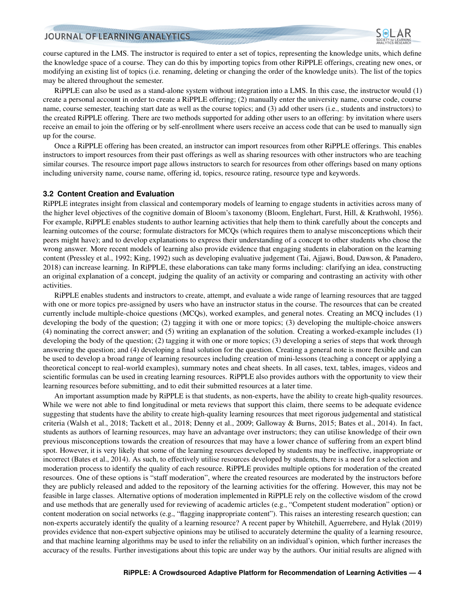

course captured in the LMS. The instructor is required to enter a set of topics, representing the knowledge units, which define the knowledge space of a course. They can do this by importing topics from other RiPPLE offerings, creating new ones, or modifying an existing list of topics (i.e. renaming, deleting or changing the order of the knowledge units). The list of the topics may be altered throughout the semester.

RiPPLE can also be used as a stand-alone system without integration into a LMS. In this case, the instructor would (1) create a personal account in order to create a RiPPLE offering; (2) manually enter the university name, course code, course name, course semester, teaching start date as well as the course topics; and (3) add other users (i.e., students and instructors) to the created RiPPLE offering. There are two methods supported for adding other users to an offering: by invitation where users receive an email to join the offering or by self-enrollment where users receive an access code that can be used to manually sign up for the course.

Once a RiPPLE offering has been created, an instructor can import resources from other RiPPLE offerings. This enables instructors to import resources from their past offerings as well as sharing resources with other instructors who are teaching similar courses. The resource import page allows instructors to search for resources from other offerings based on many options including university name, course name, offering id, topics, resource rating, resource type and keywords.

#### <span id="page-3-0"></span>**3.2 Content Creation and Evaluation**

RiPPLE integrates insight from classical and contemporary models of learning to engage students in activities across many of the higher level objectives of the cognitive domain of Bloom's taxonomy [\(Bloom, Englehart, Furst, Hill, & Krathwohl,](#page-10-10) [1956\)](#page-10-10). For example, RiPPLE enables students to author learning activities that help them to think carefully about the concepts and learning outcomes of the course; formulate distractors for MCQs (which requires them to analyse misconceptions which their peers might have); and to develop explanations to express their understanding of a concept to other students who chose the wrong answer. More recent models of learning also provide evidence that engaging students in elaboration on the learning content [\(Pressley et al.,](#page-12-11) [1992;](#page-12-11) [King,](#page-11-17) [1992\)](#page-11-17) such as developing evaluative judgement [\(Tai, Ajjawi, Boud, Dawson, & Panadero,](#page-12-12) [2018\)](#page-12-12) can increase learning. In RiPPLE, these elaborations can take many forms including: clarifying an idea, constructing an original explanation of a concept, judging the quality of an activity or comparing and contrasting an activity with other activities.

RiPPLE enables students and instructors to create, attempt, and evaluate a wide range of learning resources that are tagged with one or more topics pre-assigned by users who have an instructor status in the course. The resources that can be created currently include multiple-choice questions (MCQs), worked examples, and general notes. Creating an MCQ includes (1) developing the body of the question; (2) tagging it with one or more topics; (3) developing the multiple-choice answers (4) nominating the correct answer; and (5) writing an explanation of the solution. Creating a worked-example includes (1) developing the body of the question; (2) tagging it with one or more topics; (3) developing a series of steps that work through answering the question; and (4) developing a final solution for the question. Creating a general note is more flexible and can be used to develop a broad range of learning resources including creation of mini-lessons (teaching a concept or applying a theoretical concept to real-world examples), summary notes and cheat sheets. In all cases, text, tables, images, videos and scientific formulas can be used in creating learning resources. RiPPLE also provides authors with the opportunity to view their learning resources before submitting, and to edit their submitted resources at a later time.

An important assumption made by RiPPLE is that students, as non-experts, have the ability to create high-quality resources. While we were not able to find longitudinal or meta reviews that support this claim, there seems to be adequate evidence suggesting that students have the ability to create high-quality learning resources that meet rigorous judgemental and statistical criteria [\(Walsh et al.,](#page-12-3) [2018;](#page-12-3) [Tackett et al.,](#page-12-4) [2018;](#page-12-4) [Denny et al.,](#page-11-4) [2009;](#page-11-4) [Galloway & Burns,](#page-11-5) [2015;](#page-11-5) [Bates et al.,](#page-10-4) [2014\)](#page-10-4). In fact, students as authors of learning resources, may have an advantage over instructors; they can utilise knowledge of their own previous misconceptions towards the creation of resources that may have a lower chance of suffering from an expert blind spot. However, it is very likely that some of the learning resources developed by students may be ineffective, inappropriate or incorrect [\(Bates et al.,](#page-10-4) [2014\)](#page-10-4). As such, to effectively utilise resources developed by students, there is a need for a selection and moderation process to identify the quality of each resource. RiPPLE provides multiple options for moderation of the created resources. One of these options is "staff moderation", where the created resources are moderated by the instructors before they are publicly released and added to the repository of the learning activities for the offering. However, this may not be feasible in large classes. Alternative options of moderation implemented in RiPPLE rely on the collective wisdom of the crowd and use methods that are generally used for reviewing of academic articles (e.g., "Competent student moderation" option) or content moderation on social networks (e.g., "flagging inappropriate content"). This raises an interesting research question; can non-experts accurately identify the quality of a learning resource? A recent paper by [Whitehill, Aguerrebere, and Hylak](#page-12-13) [\(2019\)](#page-12-13) provides evidence that non-expert subjective opinions may be utilised to accurately determine the quality of a learning resource, and that machine learning algorithms may be used to infer the reliability on an individual's opinion, which further increases the accuracy of the results. Further investigations about this topic are under way by the authors. Our initial results are aligned with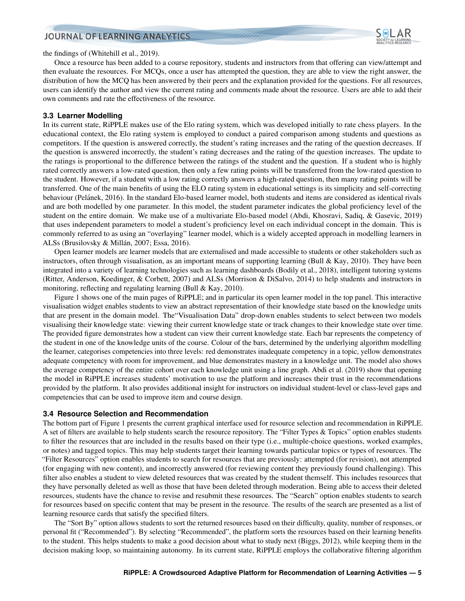

the findings of [\(Whitehill et al.,](#page-12-13) [2019\)](#page-12-13).

Once a resource has been added to a course repository, students and instructors from that offering can view/attempt and then evaluate the resources. For MCQs, once a user has attempted the question, they are able to view the right answer, the distribution of how the MCQ has been answered by their peers and the explanation provided for the questions. For all resources, users can identify the author and view the current rating and comments made about the resource. Users are able to add their own comments and rate the effectiveness of the resource.

#### <span id="page-4-0"></span>**3.3 Learner Modelling**

In its current state, RiPPLE makes use of the Elo rating system, which was developed initially to rate chess players. In the educational context, the Elo rating system is employed to conduct a paired comparison among students and questions as competitors. If the question is answered correctly, the student's rating increases and the rating of the question decreases. If the question is answered incorrectly, the student's rating decreases and the rating of the question increases. The update to the ratings is proportional to the difference between the ratings of the student and the question. If a student who is highly rated correctly answers a low-rated question, then only a few rating points will be transferred from the low-rated question to the student. However, if a student with a low rating correctly answers a high-rated question, then many rating points will be transferred. One of the main benefits of using the ELO rating system in educational settings is its simplicity and self-correcting behaviour (Pelánek, [2016\)](#page-12-14). In the standard Elo-based learner model, both students and items are considered as identical rivals and are both modelled by one parameter. In this model, the student parameter indicates the global proficiency level of the student on the entire domain. We make use of a multivariate Elo-based model [\(Abdi, Khosravi, Sadiq, & Gasevic,](#page-10-11) [2019\)](#page-10-11) that uses independent parameters to model a student's proficiency level on each individual concept in the domain. This is commonly referred to as using an "overlaying" learner model, which is a widely accepted approach in modelling learners in ALSs (Brusilovsky & Millán, [2007;](#page-10-7) [Essa,](#page-11-12) [2016\)](#page-11-12).

Open learner models are learner models that are externalised and made accessible to students or other stakeholders such as instructors, often through visualisation, as an important means of supporting learning [\(Bull & Kay,](#page-11-13) [2010\)](#page-11-13). They have been integrated into a variety of learning technologies such as learning dashboards [\(Bodily et al.,](#page-10-8) [2018\)](#page-10-8), intelligent tutoring systems [\(Ritter, Anderson, Koedinger, & Corbett,](#page-12-15) [2007\)](#page-12-15) and ALSs [\(Morrison & DiSalvo,](#page-11-18) [2014\)](#page-11-18) to help students and instructors in monitoring, reflecting and regulating learning [\(Bull & Kay,](#page-11-13) [2010\)](#page-11-13).

Figure [1](#page-5-1) shows one of the main pages of RiPPLE; and in particular its open learner model in the top panel. This interactive visualisation widget enables students to view an abstract representation of their knowledge state based on the knowledge units that are present in the domain model. The"Visualisation Data" drop-down enables students to select between two models visualising their knowledge state: viewing their current knowledge state or track changes to their knowledge state over time. The provided figure demonstrates how a student can view their current knowledge state. Each bar represents the competency of the student in one of the knowledge units of the course. Colour of the bars, determined by the underlying algorithm modelling the learner, categorises competencies into three levels: red demonstrates inadequate competency in a topic, yellow demonstrates adequate competency with room for improvement, and blue demonstrates mastery in a knowledge unit. The model also shows the average competency of the entire cohort over each knowledge unit using a line graph. [Abdi et al.](#page-10-11) [\(2019\)](#page-10-11) show that opening the model in RiPPLE increases students' motivation to use the platform and increases their trust in the recommendations provided by the platform. It also provides additional insight for instructors on individual student-level or class-level gaps and competencies that can be used to improve item and course design.

#### <span id="page-4-1"></span>**3.4 Resource Selection and Recommendation**

The bottom part of Figure [1](#page-5-1) presents the current graphical interface used for resource selection and recommendation in RiPPLE. A set of filters are available to help students search the resource repository. The "Filter Types & Topics" option enables students to filter the resources that are included in the results based on their type (i.e., multiple-choice questions, worked examples, or notes) and tagged topics. This may help students target their learning towards particular topics or types of resources. The "Filter Resources" option enables students to search for resources that are previously: attempted (for revision), not attempted (for engaging with new content), and incorrectly answered (for reviewing content they previously found challenging). This filter also enables a student to view deleted resources that was created by the student themself. This includes resources that they have personally deleted as well as those that have been deleted through moderation. Being able to access their deleted resources, students have the chance to revise and resubmit these resources. The "Search" option enables students to search for resources based on specific content that may be present in the resource. The results of the search are presented as a list of learning resource cards that satisfy the specified filters.

The "Sort By" option allows students to sort the returned resources based on their difficulty, quality, number of responses, or personal fit ("Recommended"). By selecting "Recommended", the platform sorts the resources based on their learning benefits to the student. This helps students to make a good decision about what to study next [\(Biggs,](#page-10-12) [2012\)](#page-10-12), while keeping them in the decision making loop, so maintaining autonomy. In its current state, RiPPLE employs the collaborative filtering algorithm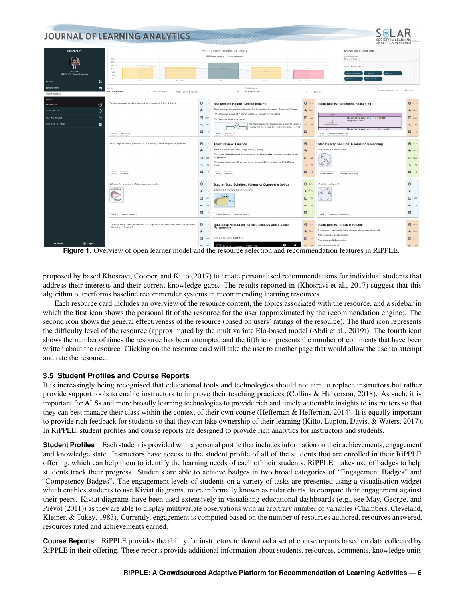<span id="page-5-1"></span>

**Figure 1.** Overview of open learner model and the resource selection and recommendation features in RiPPLE.

proposed by based [Khosravi, Cooper, and Kitto](#page-11-19) [\(2017\)](#page-11-19) to create personalised recommendations for individual students that address their interests and their current knowledge gaps. The results reported in [\(Khosravi et al.,](#page-11-19) [2017\)](#page-11-19) suggest that this algorithm outperforms baseline recommender systems in recommending learning resources.

Each resource card includes an overview of the resource content, the topics associated with the resource, and a sidebar in which the first icon shows the personal fit of the resource for the user (approximated by the recommendation engine). The second icon shows the general effectiveness of the resource (based on users' ratings of the resource). The third icon represents the difficulty level of the resource (approximated by the multivariate Elo-based model [\(Abdi et al.,](#page-10-11) [2019\)](#page-10-11)). The fourth icon shows the number of times the resource has been attempted and the fifth icon presents the number of comments that have been written about the resource. Clicking on the resource card will take the user to another page that would allow the user to attempt and rate the resource.

### <span id="page-5-0"></span>**3.5 Student Profiles and Course Reports**

It is increasingly being recognised that educational tools and technologies should not aim to replace instructors but rather provide support tools to enable instructors to improve their teaching practices [\(Collins & Halverson,](#page-11-20) [2018\)](#page-11-20). As such, it is important for ALSs and more broadly learning technologies to provide rich and timely actionable insights to instructors so that they can best manage their class within the context of their own course [\(Heffernan & Heffernan,](#page-11-11) [2014\)](#page-11-11). It is equally important to provide rich feedback for students so that they can take ownership of their learning [\(Kitto, Lupton, Davis, & Waters,](#page-11-21) [2017\)](#page-11-21). In RiPPLE, student profiles and course reports are designed to provide rich analytics for instructors and students.

**Student Profiles** Each student is provided with a personal profile that includes information on their achievements, engagement and knowledge state. Instructors have access to the student profile of all of the students that are enrolled in their RiPPLE offering, which can help them to identify the learning needs of each of their students. RiPPLE makes use of badges to help students track their progress. Students are able to achieve badges in two broad categories of "Engagement Badges" and "Competency Badges". The engagement levels of students on a variety of tasks are presented using a visualisation widget which enables students to use Kiviat diagrams, more informally known as radar charts, to compare their engagement against their peers. Kiviat diagrams have been used extensively in visualising educational dashboards (e.g., see [May, George, and](#page-11-22) Prévôt [\(2011\)](#page-11-22)) as they are able to display multivariate observations with an arbitrary number of variables [\(Chambers, Cleveland,](#page-11-23) [Kleiner, & Tukey,](#page-11-23) [1983\)](#page-11-23). Currently, engagement is computed based on the number of resources authored, resources answered, resources rated and achievements earned.

**Course Reports** RiPPLE provides the ability for instructors to download a set of course reports based on data collected by RiPPLE in their offering. These reports provide additional information about students, resources, comments, knowledge units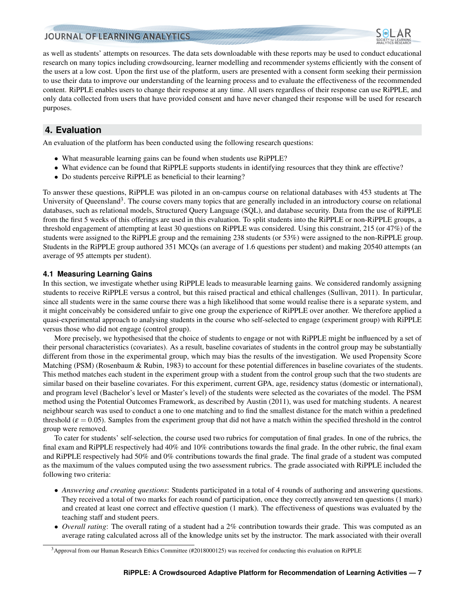

as well as students' attempts on resources. The data sets downloadable with these reports may be used to conduct educational research on many topics including crowdsourcing, learner modelling and recommender systems efficiently with the consent of the users at a low cost. Upon the first use of the platform, users are presented with a consent form seeking their permission to use their data to improve our understanding of the learning process and to evaluate the effectiveness of the recommended content. RiPPLE enables users to change their response at any time. All users regardless of their response can use RiPPLE, and only data collected from users that have provided consent and have never changed their response will be used for research purposes.

# <span id="page-6-0"></span>**4. Evaluation**

An evaluation of the platform has been conducted using the following research questions:

- What measurable learning gains can be found when students use RiPPLE?
- What evidence can be found that RiPPLE supports students in identifying resources that they think are effective?
- Do students perceive RiPPLE as beneficial to their learning?

To answer these questions, RiPPLE was piloted in an on-campus course on relational databases with 453 students at The University of Queensland<sup>[3](#page-6-1)</sup>. The course covers many topics that are generally included in an introductory course on relational databases, such as relational models, Structured Query Language (SQL), and database security. Data from the use of RiPPLE from the first 5 weeks of this offerings are used in this evaluation. To split students into the RiPPLE or non-RiPPLE groups, a threshold engagement of attempting at least 30 questions on RiPPLE was considered. Using this constraint, 215 (or 47%) of the students were assigned to the RiPPLE group and the remaining 238 students (or 53%) were assigned to the non-RiPPLE group. Students in the RiPPLE group authored 351 MCQs (an average of 1.6 questions per student) and making 20540 attempts (an average of 95 attempts per student).

#### **4.1 Measuring Learning Gains**

In this section, we investigate whether using RiPPLE leads to measurable learning gains. We considered randomly assigning students to receive RiPPLE versus a control, but this raised practical and ethical challenges [\(Sullivan,](#page-12-16) [2011\)](#page-12-16). In particular, since all students were in the same course there was a high likelihood that some would realise there is a separate system, and it might conceivably be considered unfair to give one group the experience of RiPPLE over another. We therefore applied a quasi-experimental approach to analysing students in the course who self-selected to engage (experiment group) with RiPPLE versus those who did not engage (control group).

More precisely, we hypothesised that the choice of students to engage or not with RiPPLE might be influenced by a set of their personal characteristics (covariates). As a result, baseline covariates of students in the control group may be substantially different from those in the experimental group, which may bias the results of the investigation. We used Propensity Score Matching (PSM) [\(Rosenbaum & Rubin,](#page-12-17) [1983\)](#page-12-17) to account for these potential differences in baseline covariates of the students. This method matches each student in the experiment group with a student from the control group such that the two students are similar based on their baseline covariates. For this experiment, current GPA, age, residency status (domestic or international), and program level (Bachelor's level or Master's level) of the students were selected as the covariates of the model. The PSM method using the Potential Outcomes Framework, as described by [Austin](#page-10-13) [\(2011\)](#page-10-13), was used for matching students. A nearest neighbour search was used to conduct a one to one matching and to find the smallest distance for the match within a predefined threshold ( $\varepsilon$  = 0.05). Samples from the experiment group that did not have a match within the specified threshold in the control group were removed.

To cater for students' self-selection, the course used two rubrics for computation of final grades. In one of the rubrics, the final exam and RiPPLE respectively had 40% and 10% contributions towards the final grade. In the other rubric, the final exam and RiPPLE respectively had 50% and 0% contributions towards the final grade. The final grade of a student was computed as the maximum of the values computed using the two assessment rubrics. The grade associated with RiPPLE included the following two criteria:

- *Answering and creating questions*: Students participated in a total of 4 rounds of authoring and answering questions. They received a total of two marks for each round of participation, once they correctly answered ten questions (1 mark) and created at least one correct and effective question (1 mark). The effectiveness of questions was evaluated by the teaching staff and student peers.
- *Overall rating*: The overall rating of a student had a 2% contribution towards their grade. This was computed as an average rating calculated across all of the knowledge units set by the instructor. The mark associated with their overall

<span id="page-6-1"></span><sup>3</sup>Approval from our Human Research Ethics Committee (#2018000125) was received for conducting this evaluation on RiPPLE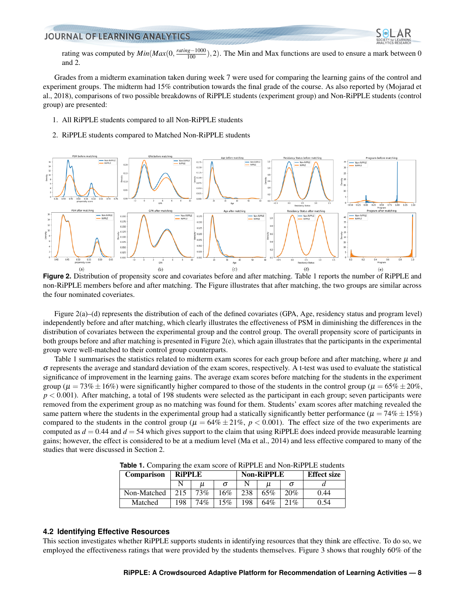

rating was computed by  $Min(Max(0, \frac{rating-1000}{100}), 2)$ . The Min and Max functions are used to ensure a mark between 0 and 2.

Grades from a midterm examination taken during week 7 were used for comparing the learning gains of the control and experiment groups. The midterm had 15% contribution towards the final grade of the course. As also reported by [\(Mojarad et](#page-11-10) [al.,](#page-11-10) [2018\)](#page-11-10), comparisons of two possible breakdowns of RiPPLE students (experiment group) and Non-RiPPLE students (control group) are presented:

- 1. All RiPPLE students compared to all Non-RiPPLE students
- 2. RiPPLE students compared to Matched Non-RiPPLE students

<span id="page-7-1"></span>

**Figure 2.** Distribution of propensity score and covariates before and after matching. Table [1](#page-7-0) reports the number of RiPPLE and non-RiPPLE members before and after matching. The Figure illustrates that after matching, the two groups are similar across the four nominated coveriates.

Figure [2\(](#page-7-1)a)–(d) represents the distribution of each of the defined covariates (GPA, Age, residency status and program level) independently before and after matching, which clearly illustrates the effectiveness of PSM in diminishing the differences in the distribution of covariates between the experimental group and the control group. The overall propensity score of participants in both groups before and after matching is presented in Figure [2\(](#page-7-1)e), which again illustrates that the participants in the experimental group were well-matched to their control group counterparts.

Table [1](#page-7-0) summarises the statistics related to midterm exam scores for each group before and after matching, where  $\mu$  and  $\sigma$  represents the average and standard deviation of the exam scores, respectively. A t-test was used to evaluate the statistical significance of improvement in the learning gains. The average exam scores before matching for the students in the experiment group ( $\mu = 73\% \pm 16\%$ ) were significantly higher compared to those of the students in the control group ( $\mu = 65\% \pm 20\%$ , *p* < 0.001). After matching, a total of 198 students were selected as the participant in each group; seven participants were removed from the experiment group as no matching was found for them. Students' exam scores after matching revealed the same pattern where the students in the experimental group had a statically significantly better performance ( $\mu = 74\% \pm 15\%$ ) compared to the students in the control group ( $\mu = 64\% \pm 21\%$ ,  $p < 0.001$ ). The effect size of the two experiments are computed as  $d = 0.44$  and  $d = 54$  which gives support to the claim that using RiPPLE does indeed provide measurable learning gains; however, the effect is considered to be at a medium level [\(Ma et al.,](#page-11-1) [2014\)](#page-11-1) and less effective compared to many of the studies that were discussed in Section [2.](#page-1-0)

| <b>Comparison</b> | <b>RiPPLE</b> |     |     | <b>Non-RiPPLE</b> |     |     | <b>Effect size</b> |
|-------------------|---------------|-----|-----|-------------------|-----|-----|--------------------|
|                   |               |     |     |                   |     |     |                    |
| Non-Matched       |               | 73% | 16% | 238               | 65% | 20% | 0.44               |
| Matched           | 198           | 74% | 15% | 198               | 64% | 21% | 0.54               |

**Table 1.** Comparing the exam score of RiPPLE and Non-RiPPLE students

#### <span id="page-7-0"></span>**4.2 Identifying Effective Resources**

This section investigates whether RiPPLE supports students in identifying resources that they think are effective. To do so, we employed the effectiveness ratings that were provided by the students themselves. Figure [3](#page-8-0) shows that roughly 60% of the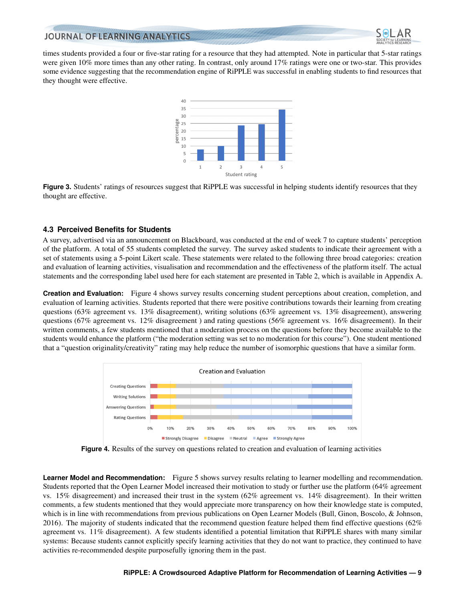

<span id="page-8-0"></span>times students provided a four or five-star rating for a resource that they had attempted. Note in particular that 5-star ratings were given 10% more times than any other rating. In contrast, only around 17% ratings were one or two-star. This provides some evidence suggesting that the recommendation engine of RiPPLE was successful in enabling students to find resources that they thought were effective.



**Figure 3.** Students' ratings of resources suggest that RiPPLE was successful in helping students identify resources that they thought are effective.

### <span id="page-8-2"></span>**4.3 Perceived Benefits for Students**

A survey, advertised via an announcement on Blackboard, was conducted at the end of week 7 to capture students' perception of the platform. A total of 55 students completed the survey. The survey asked students to indicate their agreement with a set of statements using a 5-point Likert scale. These statements were related to the following three broad categories: creation and evaluation of learning activities, visualisation and recommendation and the effectiveness of the platform itself. The actual statements and the corresponding label used here for each statement are presented in Table [2,](#page-13-0) which is available in Appendix A.

**Creation and Evaluation:** Figure [4](#page-8-1) shows survey results concerning student perceptions about creation, completion, and evaluation of learning activities. Students reported that there were positive contributions towards their learning from creating questions (63% agreement vs. 13% disagreement), writing solutions (63% agreement vs. 13% disagreement), answering questions (67% agreement vs. 12% disagreement ) and rating questions (56% agreement vs. 16% disagreement). In their written comments, a few students mentioned that a moderation process on the questions before they become available to the students would enhance the platform ("the moderation setting was set to no moderation for this course"). One student mentioned that a "question originality/creativity" rating may help reduce the number of isomorphic questions that have a similar form.

<span id="page-8-1"></span>

**Figure 4.** Results of the survey on questions related to creation and evaluation of learning activities

**Learner Model and Recommendation:** Figure [5](#page-9-1) shows survey results relating to learner modelling and recommendation. Students reported that the Open Learner Model increased their motivation to study or further use the platform (64% agreement vs. 15% disagreement) and increased their trust in the system (62% agreement vs. 14% disagreement). In their written comments, a few students mentioned that they would appreciate more transparency on how their knowledge state is computed, which is in line with recommendations from previous publications on Open Learner Models [\(Bull, Ginon, Boscolo, & Johnson,](#page-10-14) [2016\)](#page-10-14). The majority of students indicated that the recommend question feature helped them find effective questions  $(62\%$ agreement vs. 11% disagreement). A few students identified a potential limitation that RiPPLE shares with many similar systems: Because students cannot explicitly specify learning activities that they do not want to practice, they continued to have activities re-recommended despite purposefully ignoring them in the past.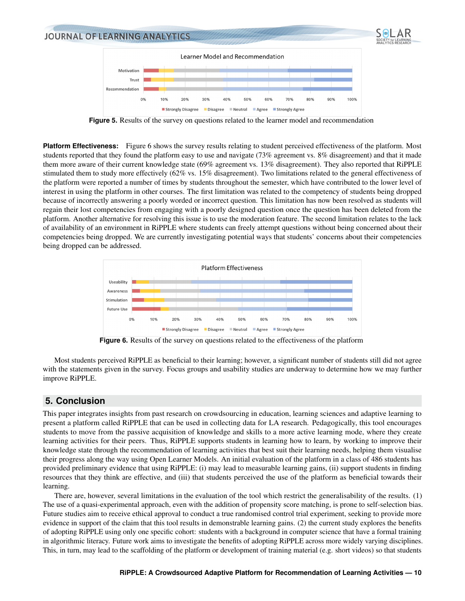<span id="page-9-1"></span>

**Figure 5.** Results of the survey on questions related to the learner model and recommendation

**Platform Effectiveness:** Figure [6](#page-9-2) shows the survey results relating to student perceived effectiveness of the platform. Most students reported that they found the platform easy to use and navigate (73% agreement vs. 8% disagreement) and that it made them more aware of their current knowledge state (69% agreement vs. 13% disagreement). They also reported that RiPPLE stimulated them to study more effectively (62% vs. 15% disagreement). Two limitations related to the general effectiveness of the platform were reported a number of times by students throughout the semester, which have contributed to the lower level of interest in using the platform in other courses. The first limitation was related to the competency of students being dropped because of incorrectly answering a poorly worded or incorrect question. This limitation has now been resolved as students will regain their lost competencies from engaging with a poorly designed question once the question has been deleted from the platform. Another alternative for resolving this issue is to use the moderation feature. The second limitation relates to the lack of availability of an environment in RiPPLE where students can freely attempt questions without being concerned about their competencies being dropped. We are currently investigating potential ways that students' concerns about their competencies being dropped can be addressed.

<span id="page-9-2"></span>

**Figure 6.** Results of the survey on questions related to the effectiveness of the platform

Most students perceived RiPPLE as beneficial to their learning; however, a significant number of students still did not agree with the statements given in the survey. Focus groups and usability studies are underway to determine how we may further improve RiPPLE.

# <span id="page-9-0"></span>**5. Conclusion**

This paper integrates insights from past research on crowdsourcing in education, learning sciences and adaptive learning to present a platform called RiPPLE that can be used in collecting data for LA research. Pedagogically, this tool encourages students to move from the passive acquisition of knowledge and skills to a more active learning mode, where they create learning activities for their peers. Thus, RiPPLE supports students in learning how to learn, by working to improve their knowledge state through the recommendation of learning activities that best suit their learning needs, helping them visualise their progress along the way using Open Learner Models. An initial evaluation of the platform in a class of 486 students has provided preliminary evidence that using RiPPLE: (i) may lead to measurable learning gains, (ii) support students in finding resources that they think are effective, and (iii) that students perceived the use of the platform as beneficial towards their learning.

There are, however, several limitations in the evaluation of the tool which restrict the generalisability of the results. (1) The use of a quasi-experimental approach, even with the addition of propensity score matching, is prone to self-selection bias. Future studies aim to receive ethical approval to conduct a true randomised control trial experiment, seeking to provide more evidence in support of the claim that this tool results in demonstrable learning gains. (2) the current study explores the benefits of adopting RiPPLE using only one specific cohort: students with a background in computer science that have a formal training in algorithmic literacy. Future work aims to investigate the benefits of adopting RiPPLE across more widely varying disciplines. This, in turn, may lead to the scaffolding of the platform or development of training material (e.g. short videos) so that students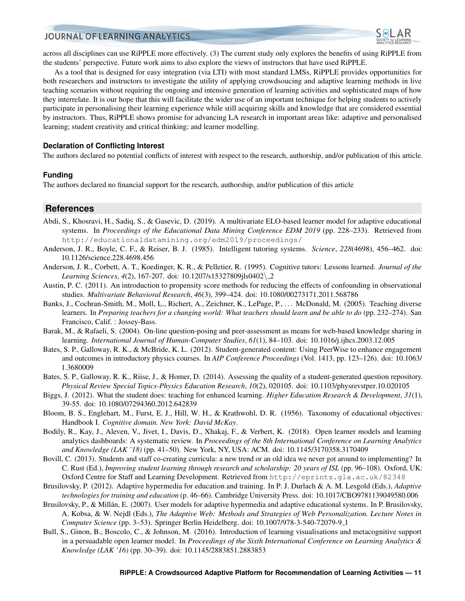

across all disciplines can use RiPPLE more effectively. (3) The current study only explores the benefits of using RiPPLE from the students' perspective. Future work aims to also explore the views of instructors that have used RiPPLE.

As a tool that is designed for easy integration (via LTI) with most standard LMSs, RiPPLE provides opportunities for both researchers and instructors to investigate the utility of applying crowdsoucing and adaptive learning methods in live teaching scenarios without requiring the ongoing and intensive generation of learning activities and sophisticated maps of how they interrelate. It is our hope that this will facilitate the wider use of an important technique for helping students to actively participate in personalising their learning experience while still acquiring skills and knowledge that are considered essential by instructors. Thus, RiPPLE shows promise for advancing LA research in important areas like: adaptive and personalised learning; student creativity and critical thinking; and learner modelling.

#### **Declaration of Conflicting Interest**

The authors declared no potential conflicts of interest with respect to the research, authorship, and/or publication of this article.

#### **Funding**

The authors declared no financial support for the research, authorship, and/or publication of this article

### **References**

- <span id="page-10-11"></span>Abdi, S., Khosravi, H., Sadiq, S., & Gasevic, D. (2019). A multivariate ELO-based learner model for adaptive educational systems. In *Proceedings of the Educational Data Mining Conference EDM 2019* (pp. 228–233). Retrieved from <http://educationaldatamining.org/edm2019/proceedings/>
- <span id="page-10-5"></span>Anderson, J. R., Boyle, C. F., & Reiser, B. J. (1985). Intelligent tutoring systems. *Science*, *228*(4698), 456–462. doi: 10.1126/science.228.4698.456
- <span id="page-10-1"></span>Anderson, J. R., Corbett, A. T., Koedinger, K. R., & Pelletier, R. (1995). Cognitive tutors: Lessons learned. *Journal of the Learning Sciences*, *4*(2), 167-207. doi: 10.1207/s15327809jls0402\ 2
- <span id="page-10-13"></span>Austin, P. C. (2011). An introduction to propensity score methods for reducing the effects of confounding in observational studies. *Multivariate Behavioral Research*, *46*(3), 399–424. doi: 10.1080/00273171.2011.568786
- <span id="page-10-0"></span>Banks, J., Cochran-Smith, M., Moll, L., Richert, A., Zeichner, K., LePage, P., ... McDonald, M. (2005). Teaching diverse learners. In *Preparing teachers for a changing world: What teachers should learn and be able to do* (pp. 232–274). San Francisco, Calif. : Jossey-Bass.
- <span id="page-10-2"></span>Barak, M., & Rafaeli, S. (2004). On-line question-posing and peer-assessment as means for web-based knowledge sharing in learning. *International Journal of Human-Computer Studies*, *61*(1), 84–103. doi: 10.1016/j.ijhcs.2003.12.005
- <span id="page-10-3"></span>Bates, S. P., Galloway, R. K., & McBride, K. L. (2012). Student-generated content: Using PeerWise to enhance engagement and outcomes in introductory physics courses. In *AIP Conference Proceedings* (Vol. 1413, pp. 123–126). doi: 10.1063/ 1.3680009
- <span id="page-10-4"></span>Bates, S. P., Galloway, R. K., Riise, J., & Homer, D. (2014). Assessing the quality of a student-generated question repository. *Physical Review Special Topics-Physics Education Research*, *10*(2), 020105. doi: 10.1103/physrevstper.10.020105
- <span id="page-10-12"></span>Biggs, J. (2012). What the student does: teaching for enhanced learning. *Higher Education Research & Development*, *31*(1), 39-55. doi: 10.1080/07294360.2012.642839
- <span id="page-10-10"></span>Bloom, B. S., Englehart, M., Furst, E. J., Hill, W. H., & Krathwohl, D. R. (1956). Taxonomy of educational objectives: Handbook I. *Cognitive domain. New York: David McKay*.
- <span id="page-10-8"></span>Bodily, R., Kay, J., Aleven, V., Jivet, I., Davis, D., Xhakaj, F., & Verbert, K. (2018). Open learner models and learning analytics dashboards: A systematic review. In *Proceedings of the 8th International Conference on Learning Analytics and Knowledge (LAK '18)* (pp. 41–50). New York, NY, USA: ACM. doi: 10.1145/3170358.3170409
- <span id="page-10-9"></span>Bovill, C. (2013). Students and staff co-creating curricula: a new trend or an old idea we never got around to implementing? In C. Rust (Ed.), *Improving student learning through research and scholarship: 20 years of ISL* (pp. 96–108). Oxford, UK: Oxford Centre for Staff and Learning Development. Retrieved from <http://eprints.gla.ac.uk/82348>
- <span id="page-10-6"></span>Brusilovsky, P. (2012). Adaptive hypermedia for education and training. In P. J. Durlach & A. M. Lesgold (Eds.), *Adaptive technologies for training and education* (p. 46–66). Cambridge University Press. doi: 10.1017/CBO9781139049580.006
- <span id="page-10-7"></span>Brusilovsky, P., & Millán, E. (2007). User models for adaptive hypermedia and adaptive educational systems. In P. Brusilovsky, A. Kobsa, & W. Nejdl (Eds.), *The Adaptive Web: Methods and Strategies of Web Personalization. Lecture Notes in Computer Science* (pp. 3–53). Springer Berlin Heidelberg. doi: 10.1007/978-3-540-72079-9 1
- <span id="page-10-14"></span>Bull, S., Ginon, B., Boscolo, C., & Johnson, M. (2016). Introduction of learning visualisations and metacognitive support in a persuadable open learner model. In *Proceedings of the Sixth International Conference on Learning Analytics & Knowledge (LAK '16)* (pp. 30–39). doi: 10.1145/2883851.2883853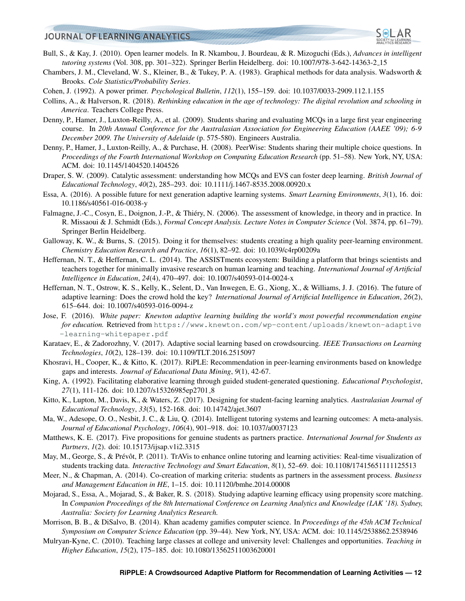

- <span id="page-11-13"></span>Bull, S., & Kay, J. (2010). Open learner models. In R. Nkambou, J. Bourdeau, & R. Mizoguchi (Eds.), *Advances in intelligent tutoring systems* (Vol. 308, pp. 301–322). Springer Berlin Heidelberg. doi: 10.1007/978-3-642-14363-2 15
- <span id="page-11-23"></span>Chambers, J. M., Cleveland, W. S., Kleiner, B., & Tukey, P. A. (1983). Graphical methods for data analysis. Wadsworth & Brooks. *Cole Statistics/Probability Series*.
- <span id="page-11-9"></span>Cohen, J. (1992). A power primer. *Psychological Bulletin*, *112*(1), 155–159. doi: 10.1037/0033-2909.112.1.155
- <span id="page-11-20"></span>Collins, A., & Halverson, R. (2018). *Rethinking education in the age of technology: The digital revolution and schooling in America*. Teachers College Press.
- <span id="page-11-4"></span>Denny, P., Hamer, J., Luxton-Reilly, A., et al. (2009). Students sharing and evaluating MCQs in a large first year engineering course. In *20th Annual Conference for the Australasian Association for Engineering Education (AAEE '09); 6-9 December 2009. The University of Adelaide* (p. 575-580). Engineers Australia.
- <span id="page-11-3"></span>Denny, P., Hamer, J., Luxton-Reilly, A., & Purchase, H. (2008). PeerWise: Students sharing their multiple choice questions. In *Proceedings of the Fourth International Workshop on Computing Education Research* (pp. 51–58). New York, NY, USA: ACM. doi: 10.1145/1404520.1404526
- <span id="page-11-2"></span>Draper, S. W. (2009). Catalytic assessment: understanding how MCQs and EVS can foster deep learning. *British Journal of Educational Technology*, *40*(2), 285–293. doi: 10.1111/j.1467-8535.2008.00920.x
- <span id="page-11-12"></span>Essa, A. (2016). A possible future for next generation adaptive learning systems. *Smart Learning Environments*, *3*(1), 16. doi: 10.1186/s40561-016-0038-y
- <span id="page-11-8"></span>Falmagne, J.-C., Cosyn, E., Doignon, J.-P., & Thiery, N. (2006). The assessment of knowledge, in theory and in practice. In R. Missaoui & J. Schmidt (Eds.), *Formal Concept Analysis. Lecture Notes in Computer Science* (Vol. 3874, pp. 61–79). Springer Berlin Heidelberg.
- <span id="page-11-5"></span>Galloway, K. W., & Burns, S. (2015). Doing it for themselves: students creating a high quality peer-learning environment. *Chemistry Education Research and Practice*, *16*(1), 82–92. doi: 10.1039/c4rp00209a
- <span id="page-11-11"></span>Heffernan, N. T., & Heffernan, C. L. (2014). The ASSISTments ecosystem: Building a platform that brings scientists and teachers together for minimally invasive research on human learning and teaching. *International Journal of Artificial Intelligence in Education*, *24*(4), 470–497. doi: 10.1007/s40593-014-0024-x
- <span id="page-11-15"></span>Heffernan, N. T., Ostrow, K. S., Kelly, K., Selent, D., Van Inwegen, E. G., Xiong, X., & Williams, J. J. (2016). The future of adaptive learning: Does the crowd hold the key? *International Journal of Artificial Intelligence in Education*, *26*(2), 615–644. doi: 10.1007/s40593-016-0094-z
- <span id="page-11-7"></span>Jose, F. (2016). *White paper: Knewton adaptive learning building the world's most powerful recommendation engine for education.* Retrieved from [https://www.knewton.com/wp-content/uploads/knewton-adaptive](https://www.knewton.com/wp-content/uploads/knewton-adaptive-learning-whitepaper.pdf) [-learning-whitepaper.pdf](https://www.knewton.com/wp-content/uploads/knewton-adaptive-learning-whitepaper.pdf)
- <span id="page-11-16"></span>Karataev, E., & Zadorozhny, V. (2017). Adaptive social learning based on crowdsourcing. *IEEE Transactions on Learning Technologies*, *10*(2), 128–139. doi: 10.1109/TLT.2016.2515097
- <span id="page-11-19"></span>Khosravi, H., Cooper, K., & Kitto, K. (2017). RiPLE: Recommendation in peer-learning environments based on knowledge gaps and interests. *Journal of Educational Data Mining*, *9*(1), 42-67.
- <span id="page-11-17"></span>King, A. (1992). Facilitating elaborative learning through guided student-generated questioning. *Educational Psychologist*, 27(1), 111-126. doi: 10.1207/s15326985ep2701<sub>-8</sub>
- <span id="page-11-21"></span>Kitto, K., Lupton, M., Davis, K., & Waters, Z. (2017). Designing for student-facing learning analytics. *Australasian Journal of Educational Technology*, *33*(5), 152-168. doi: 10.14742/ajet.3607
- <span id="page-11-1"></span>Ma, W., Adesope, O. O., Nesbit, J. C., & Liu, Q. (2014). Intelligent tutoring systems and learning outcomes: A meta-analysis. *Journal of Educational Psychology*, *106*(4), 901–918. doi: 10.1037/a0037123
- <span id="page-11-6"></span>Matthews, K. E. (2017). Five propositions for genuine students as partners practice. *International Journal for Students as Partners*, *1*(2). doi: 10.15173/ijsap.v1i2.3315
- <span id="page-11-22"></span>May, M., George, S., & Prévôt, P. (2011). TrAVis to enhance online tutoring and learning activities: Real-time visualization of students tracking data. *Interactive Technology and Smart Education*, *8*(1), 52–69. doi: 10.1108/17415651111125513
- <span id="page-11-14"></span>Meer, N., & Chapman, A. (2014). Co-creation of marking criteria: students as partners in the assessment process. *Business and Management Education in HE*, 1–15. doi: 10.11120/bmhe.2014.00008
- <span id="page-11-10"></span>Mojarad, S., Essa, A., Mojarad, S., & Baker, R. S. (2018). Studying adaptive learning efficacy using propensity score matching. In *Companion Proceedings of the 8th International Conference on Learning Analytics and Knowledge (LAK '18). Sydney, Australia: Society for Learning Analytics Research.*
- <span id="page-11-18"></span>Morrison, B. B., & DiSalvo, B. (2014). Khan academy gamifies computer science. In *Proceedings of the 45th ACM Technical Symposium on Computer Science Education* (pp. 39–44). New York, NY, USA: ACM. doi: 10.1145/2538862.2538946
- <span id="page-11-0"></span>Mulryan-Kyne, C. (2010). Teaching large classes at college and university level: Challenges and opportunities. *Teaching in Higher Education*, *15*(2), 175–185. doi: 10.1080/13562511003620001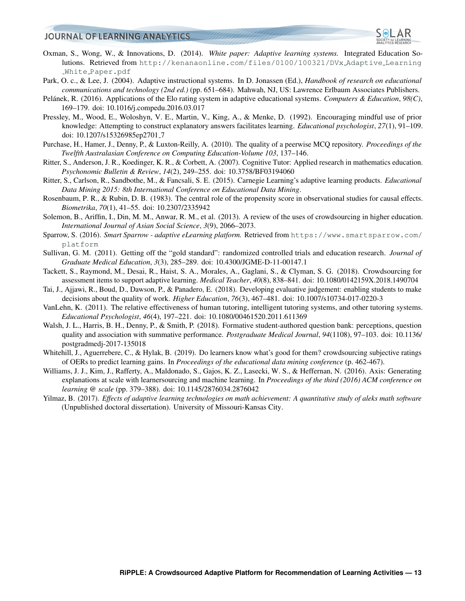

- <span id="page-12-7"></span>Oxman, S., Wong, W., & Innovations, D. (2014). *White paper: Adaptive learning systems.* Integrated Education Solutions. Retrieved from [http://kenanaonline.com/files/0100/100321/DVx](http://kenanaonline.com/files/0100/100321/DVx_Adaptive_Learning_White_Paper.pdf) Adaptive Learning White [Paper.pdf](http://kenanaonline.com/files/0100/100321/DVx_Adaptive_Learning_White_Paper.pdf)
- <span id="page-12-0"></span>Park, O. c., & Lee, J. (2004). Adaptive instructional systems. In D. Jonassen (Ed.), *Handbook of research on educational communications and technology (2nd ed.)* (pp. 651–684). Mahwah, NJ, US: Lawrence Erlbaum Associates Publishers.
- <span id="page-12-14"></span>Pelánek, R. (2016). Applications of the Elo rating system in adaptive educational systems. Computers & Education,  $98(C)$ , 169–179. doi: 10.1016/j.compedu.2016.03.017
- <span id="page-12-11"></span>Pressley, M., Wood, E., Woloshyn, V. E., Martin, V., King, A., & Menke, D. (1992). Encouraging mindful use of prior knowledge: Attempting to construct explanatory answers facilitates learning. *Educational psychologist*, *27*(1), 91–109. doi: 10.1207/s15326985ep2701<sub>-7</sub>
- <span id="page-12-2"></span>Purchase, H., Hamer, J., Denny, P., & Luxton-Reilly, A. (2010). The quality of a peerwise MCQ repository. *Proceedings of the Twelfth Australasian Conference on Computing Education-Volume 103*, 137–146.
- <span id="page-12-15"></span>Ritter, S., Anderson, J. R., Koedinger, K. R., & Corbett, A. (2007). Cognitive Tutor: Applied research in mathematics education. *Psychonomic Bulletin & Review*, *14*(2), 249–255. doi: 10.3758/BF03194060
- <span id="page-12-5"></span>Ritter, S., Carlson, R., Sandbothe, M., & Fancsali, S. E. (2015). Carnegie Learning's adaptive learning products. *Educational Data Mining 2015: 8th International Conference on Educational Data Mining*.
- <span id="page-12-17"></span>Rosenbaum, P. R., & Rubin, D. B. (1983). The central role of the propensity score in observational studies for causal effects. *Biometrika*, *70*(1), 41–55. doi: 10.2307/2335942
- <span id="page-12-9"></span>Solemon, B., Ariffin, I., Din, M. M., Anwar, R. M., et al. (2013). A review of the uses of crowdsourcing in higher education. *International Journal of Asian Social Science*, *3*(9), 2066–2073.
- <span id="page-12-8"></span>Sparrow, S. (2016). *Smart Sparrow - adaptive eLearning platform.* Retrieved from [https://www.smartsparrow.com/](https://www.smartsparrow.com/platform) [platform](https://www.smartsparrow.com/platform)
- <span id="page-12-16"></span>Sullivan, G. M. (2011). Getting off the "gold standard": randomized controlled trials and education research. *Journal of Graduate Medical Education*, *3*(3), 285–289. doi: 10.4300/JGME-D-11-00147.1
- <span id="page-12-4"></span>Tackett, S., Raymond, M., Desai, R., Haist, S. A., Morales, A., Gaglani, S., & Clyman, S. G. (2018). Crowdsourcing for assessment items to support adaptive learning. *Medical Teacher*, *40*(8), 838–841. doi: 10.1080/0142159X.2018.1490704
- <span id="page-12-12"></span>Tai, J., Ajjawi, R., Boud, D., Dawson, P., & Panadero, E. (2018). Developing evaluative judgement: enabling students to make decisions about the quality of work. *Higher Education*, *76*(3), 467–481. doi: 10.1007/s10734-017-0220-3
- <span id="page-12-1"></span>VanLehn, K. (2011). The relative effectiveness of human tutoring, intelligent tutoring systems, and other tutoring systems. *Educational Psychologist*, *46*(4), 197–221. doi: 10.1080/00461520.2011.611369
- <span id="page-12-3"></span>Walsh, J. L., Harris, B. H., Denny, P., & Smith, P. (2018). Formative student-authored question bank: perceptions, question quality and association with summative performance. *Postgraduate Medical Journal*, *94*(1108), 97–103. doi: 10.1136/ postgradmedj-2017-135018
- <span id="page-12-13"></span>Whitehill, J., Aguerrebere, C., & Hylak, B. (2019). Do learners know what's good for them? crowdsourcing subjective ratings of OERs to predict learning gains. In *Proceedings of the educational data mining conference* (p. 462-467).
- <span id="page-12-10"></span>Williams, J. J., Kim, J., Rafferty, A., Maldonado, S., Gajos, K. Z., Lasecki, W. S., & Heffernan, N. (2016). Axis: Generating explanations at scale with learnersourcing and machine learning. In *Proceedings of the third (2016) ACM conference on learning @ scale* (pp. 379–388). doi: 10.1145/2876034.2876042
- <span id="page-12-6"></span>Yilmaz, B. (2017). *Effects of adaptive learning technologies on math achievement: A quantitative study of aleks math software* (Unpublished doctoral dissertation). University of Missouri-Kansas City.